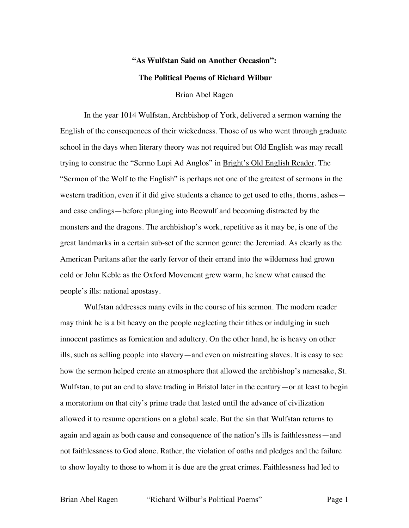## **"As Wulfstan Said on Another Occasion":**

## **The Political Poems of Richard Wilbur**

Brian Abel Ragen

In the year 1014 Wulfstan, Archbishop of York, delivered a sermon warning the English of the consequences of their wickedness. Those of us who went through graduate school in the days when literary theory was not required but Old English was may recall trying to construe the "Sermo Lupi Ad Anglos" in Bright's Old English Reader. The "Sermon of the Wolf to the English" is perhaps not one of the greatest of sermons in the western tradition, even if it did give students a chance to get used to eths, thorns, ashes and case endings—before plunging into Beowulf and becoming distracted by the monsters and the dragons. The archbishop's work, repetitive as it may be, is one of the great landmarks in a certain sub-set of the sermon genre: the Jeremiad. As clearly as the American Puritans after the early fervor of their errand into the wilderness had grown cold or John Keble as the Oxford Movement grew warm, he knew what caused the people's ills: national apostasy.

Wulfstan addresses many evils in the course of his sermon. The modern reader may think he is a bit heavy on the people neglecting their tithes or indulging in such innocent pastimes as fornication and adultery. On the other hand, he is heavy on other ills, such as selling people into slavery—and even on mistreating slaves. It is easy to see how the sermon helped create an atmosphere that allowed the archbishop's namesake, St. Wulfstan, to put an end to slave trading in Bristol later in the century—or at least to begin a moratorium on that city's prime trade that lasted until the advance of civilization allowed it to resume operations on a global scale. But the sin that Wulfstan returns to again and again as both cause and consequence of the nation's ills is faithlessness—and not faithlessness to God alone. Rather, the violation of oaths and pledges and the failure to show loyalty to those to whom it is due are the great crimes. Faithlessness had led to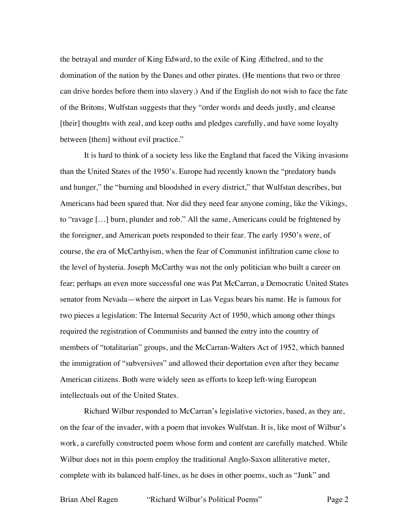the betrayal and murder of King Edward, to the exile of King Æthelred, and to the domination of the nation by the Danes and other pirates. (He mentions that two or three can drive hordes before them into slavery.) And if the English do not wish to face the fate of the Britons, Wulfstan suggests that they "order words and deeds justly, and cleanse [their] thoughts with zeal, and keep oaths and pledges carefully, and have some loyalty between [them] without evil practice."

It is hard to think of a society less like the England that faced the Viking invasions than the United States of the 1950's. Europe had recently known the "predatory bands and hunger," the "burning and bloodshed in every district," that Wulfstan describes, but Americans had been spared that. Nor did they need fear anyone coming, like the Vikings, to "ravage […] burn, plunder and rob." All the same, Americans could be frightened by the foreigner, and American poets responded to their fear. The early 1950's were, of course, the era of McCarthyism, when the fear of Communist infiltration came close to the level of hysteria. Joseph McCarthy was not the only politician who built a career on fear; perhaps an even more successful one was Pat McCarran, a Democratic United States senator from Nevada—where the airport in Las Vegas bears his name. He is famous for two pieces a legislation: The Internal Security Act of 1950, which among other things required the registration of Communists and banned the entry into the country of members of "totalitarian" groups, and the McCarran-Walters Act of 1952, which banned the immigration of "subversives" and allowed their deportation even after they became American citizens. Both were widely seen as efforts to keep left-wing European intellectuals out of the United States.

Richard Wilbur responded to McCarran's legislative victories, based, as they are, on the fear of the invader, with a poem that invokes Wulfstan. It is, like most of Wilbur's work, a carefully constructed poem whose form and content are carefully matched. While Wilbur does not in this poem employ the traditional Anglo-Saxon alliterative meter, complete with its balanced half-lines, as he does in other poems, such as "Junk" and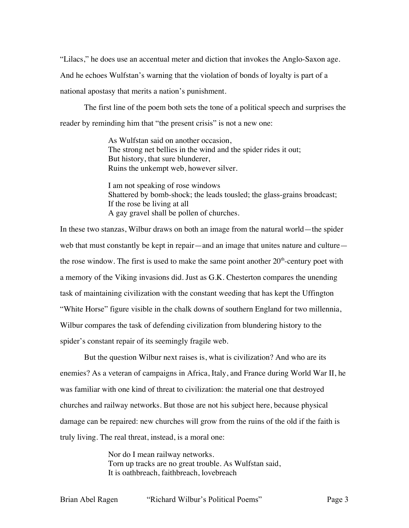"Lilacs," he does use an accentual meter and diction that invokes the Anglo-Saxon age. And he echoes Wulfstan's warning that the violation of bonds of loyalty is part of a national apostasy that merits a nation's punishment.

The first line of the poem both sets the tone of a political speech and surprises the reader by reminding him that "the present crisis" is not a new one:

> As Wulfstan said on another occasion, The strong net bellies in the wind and the spider rides it out; But history, that sure blunderer, Ruins the unkempt web, however silver.

I am not speaking of rose windows Shattered by bomb-shock; the leads tousled; the glass-grains broadcast; If the rose be living at all A gay gravel shall be pollen of churches.

In these two stanzas, Wilbur draws on both an image from the natural world—the spider web that must constantly be kept in repair—and an image that unites nature and culture the rose window. The first is used to make the same point another  $20<sup>th</sup>$ -century poet with a memory of the Viking invasions did. Just as G.K. Chesterton compares the unending task of maintaining civilization with the constant weeding that has kept the Uffington "White Horse" figure visible in the chalk downs of southern England for two millennia, Wilbur compares the task of defending civilization from blundering history to the spider's constant repair of its seemingly fragile web.

But the question Wilbur next raises is, what is civilization? And who are its enemies? As a veteran of campaigns in Africa, Italy, and France during World War II, he was familiar with one kind of threat to civilization: the material one that destroyed churches and railway networks. But those are not his subject here, because physical damage can be repaired: new churches will grow from the ruins of the old if the faith is truly living. The real threat, instead, is a moral one:

> Nor do I mean railway networks. Torn up tracks are no great trouble. As Wulfstan said, It is oathbreach, faithbreach, lovebreach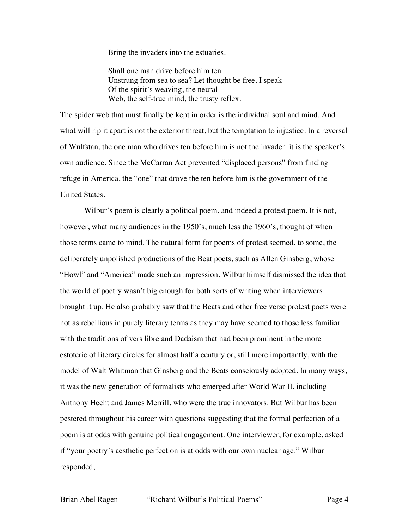Bring the invaders into the estuaries.

Shall one man drive before him ten Unstrung from sea to sea? Let thought be free. I speak Of the spirit's weaving, the neural Web, the self-true mind, the trusty reflex.

The spider web that must finally be kept in order is the individual soul and mind. And what will rip it apart is not the exterior threat, but the temptation to injustice. In a reversal of Wulfstan, the one man who drives ten before him is not the invader: it is the speaker's own audience. Since the McCarran Act prevented "displaced persons" from finding refuge in America, the "one" that drove the ten before him is the government of the United States.

Wilbur's poem is clearly a political poem, and indeed a protest poem. It is not, however, what many audiences in the 1950's, much less the 1960's, thought of when those terms came to mind. The natural form for poems of protest seemed, to some, the deliberately unpolished productions of the Beat poets, such as Allen Ginsberg, whose "Howl" and "America" made such an impression. Wilbur himself dismissed the idea that the world of poetry wasn't big enough for both sorts of writing when interviewers brought it up. He also probably saw that the Beats and other free verse protest poets were not as rebellious in purely literary terms as they may have seemed to those less familiar with the traditions of vers libre and Dadaism that had been prominent in the more estoteric of literary circles for almost half a century or, still more importantly, with the model of Walt Whitman that Ginsberg and the Beats consciously adopted. In many ways, it was the new generation of formalists who emerged after World War II, including Anthony Hecht and James Merrill, who were the true innovators. But Wilbur has been pestered throughout his career with questions suggesting that the formal perfection of a poem is at odds with genuine political engagement. One interviewer, for example, asked if "your poetry's aesthetic perfection is at odds with our own nuclear age." Wilbur responded,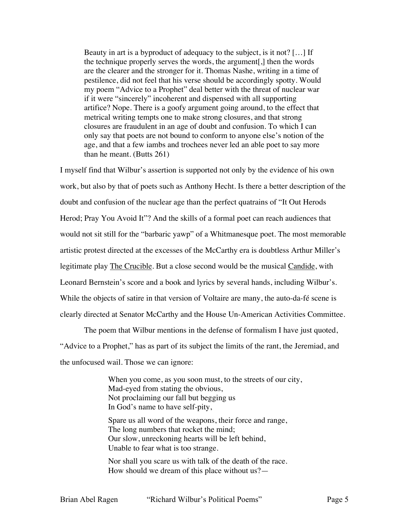Beauty in art is a byproduct of adequacy to the subject, is it not? […] If the technique properly serves the words, the argument[,] then the words are the clearer and the stronger for it. Thomas Nashe, writing in a time of pestilence, did not feel that his verse should be accordingly spotty. Would my poem "Advice to a Prophet" deal better with the threat of nuclear war if it were "sincerely" incoherent and dispensed with all supporting artifice? Nope. There is a goofy argument going around, to the effect that metrical writing tempts one to make strong closures, and that strong closures are fraudulent in an age of doubt and confusion. To which I can only say that poets are not bound to conform to anyone else's notion of the age, and that a few iambs and trochees never led an able poet to say more than he meant. (Butts 261)

I myself find that Wilbur's assertion is supported not only by the evidence of his own work, but also by that of poets such as Anthony Hecht. Is there a better description of the doubt and confusion of the nuclear age than the perfect quatrains of "It Out Herods Herod; Pray You Avoid It"? And the skills of a formal poet can reach audiences that would not sit still for the "barbaric yawp" of a Whitmanesque poet. The most memorable artistic protest directed at the excesses of the McCarthy era is doubtless Arthur Miller's legitimate play The Crucible. But a close second would be the musical Candide, with Leonard Bernstein's score and a book and lyrics by several hands, including Wilbur's. While the objects of satire in that version of Voltaire are many, the auto-da-fé scene is clearly directed at Senator McCarthy and the House Un-American Activities Committee.

The poem that Wilbur mentions in the defense of formalism I have just quoted, "Advice to a Prophet," has as part of its subject the limits of the rant, the Jeremiad, and the unfocused wail. Those we can ignore:

> When you come, as you soon must, to the streets of our city, Mad-eyed from stating the obvious, Not proclaiming our fall but begging us In God's name to have self-pity,

Spare us all word of the weapons, their force and range, The long numbers that rocket the mind; Our slow, unreckoning hearts will be left behind, Unable to fear what is too strange.

Nor shall you scare us with talk of the death of the race. How should we dream of this place without us?—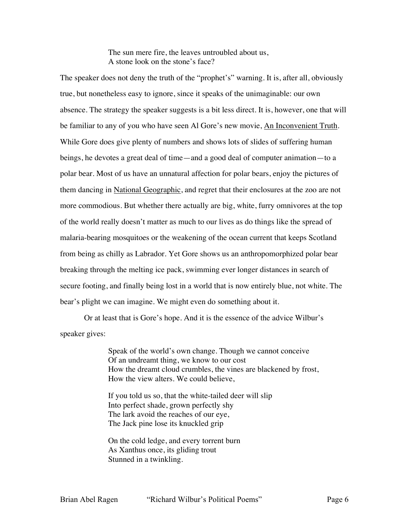The sun mere fire, the leaves untroubled about us, A stone look on the stone's face?

The speaker does not deny the truth of the "prophet's" warning. It is, after all, obviously true, but nonetheless easy to ignore, since it speaks of the unimaginable: our own absence. The strategy the speaker suggests is a bit less direct. It is, however, one that will be familiar to any of you who have seen Al Gore's new movie, An Inconvenient Truth. While Gore does give plenty of numbers and shows lots of slides of suffering human beings, he devotes a great deal of time—and a good deal of computer animation—to a polar bear. Most of us have an unnatural affection for polar bears, enjoy the pictures of them dancing in National Geographic, and regret that their enclosures at the zoo are not more commodious. But whether there actually are big, white, furry omnivores at the top of the world really doesn't matter as much to our lives as do things like the spread of malaria-bearing mosquitoes or the weakening of the ocean current that keeps Scotland from being as chilly as Labrador. Yet Gore shows us an anthropomorphized polar bear breaking through the melting ice pack, swimming ever longer distances in search of secure footing, and finally being lost in a world that is now entirely blue, not white. The bear's plight we can imagine. We might even do something about it.

Or at least that is Gore's hope. And it is the essence of the advice Wilbur's speaker gives:

> Speak of the world's own change. Though we cannot conceive Of an undreamt thing, we know to our cost How the dreamt cloud crumbles, the vines are blackened by frost, How the view alters. We could believe,

If you told us so, that the white-tailed deer will slip Into perfect shade, grown perfectly shy The lark avoid the reaches of our eye, The Jack pine lose its knuckled grip

On the cold ledge, and every torrent burn As Xanthus once, its gliding trout Stunned in a twinkling.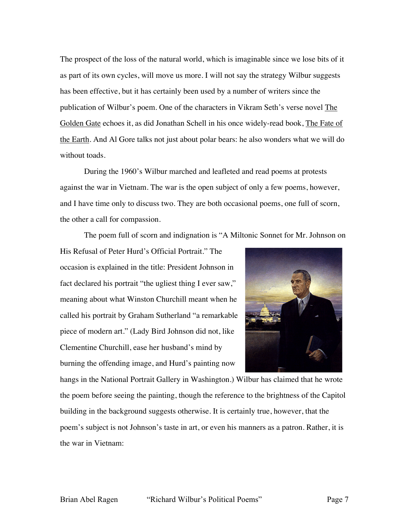The prospect of the loss of the natural world, which is imaginable since we lose bits of it as part of its own cycles, will move us more. I will not say the strategy Wilbur suggests has been effective, but it has certainly been used by a number of writers since the publication of Wilbur's poem. One of the characters in Vikram Seth's verse novel The Golden Gate echoes it, as did Jonathan Schell in his once widely-read book, The Fate of the Earth. And Al Gore talks not just about polar bears: he also wonders what we will do without toads.

During the 1960's Wilbur marched and leafleted and read poems at protests against the war in Vietnam. The war is the open subject of only a few poems, however, and I have time only to discuss two. They are both occasional poems, one full of scorn, the other a call for compassion.

The poem full of scorn and indignation is "A Miltonic Sonnet for Mr. Johnson on

His Refusal of Peter Hurd's Official Portrait." The occasion is explained in the title: President Johnson in fact declared his portrait "the ugliest thing I ever saw," meaning about what Winston Churchill meant when he called his portrait by Graham Sutherland "a remarkable piece of modern art." (Lady Bird Johnson did not, like Clementine Churchill, ease her husband's mind by burning the offending image, and Hurd's painting now



hangs in the National Portrait Gallery in Washington.) Wilbur has claimed that he wrote the poem before seeing the painting, though the reference to the brightness of the Capitol building in the background suggests otherwise. It is certainly true, however, that the poem's subject is not Johnson's taste in art, or even his manners as a patron. Rather, it is the war in Vietnam: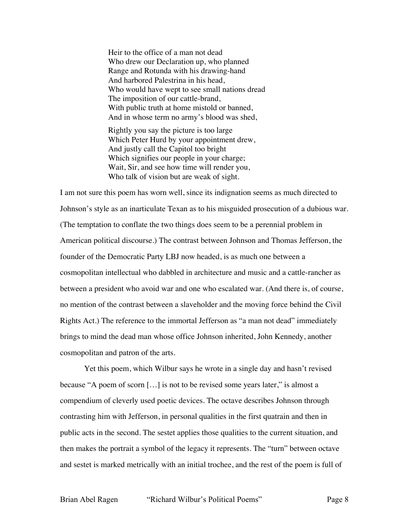Heir to the office of a man not dead Who drew our Declaration up, who planned Range and Rotunda with his drawing-hand And harbored Palestrina in his head, Who would have wept to see small nations dread The imposition of our cattle-brand, With public truth at home mistold or banned, And in whose term no army's blood was shed,

Rightly you say the picture is too large Which Peter Hurd by your appointment drew, And justly call the Capitol too bright Which signifies our people in your charge; Wait, Sir, and see how time will render you, Who talk of vision but are weak of sight.

I am not sure this poem has worn well, since its indignation seems as much directed to Johnson's style as an inarticulate Texan as to his misguided prosecution of a dubious war. (The temptation to conflate the two things does seem to be a perennial problem in American political discourse.) The contrast between Johnson and Thomas Jefferson, the founder of the Democratic Party LBJ now headed, is as much one between a cosmopolitan intellectual who dabbled in architecture and music and a cattle-rancher as between a president who avoid war and one who escalated war. (And there is, of course, no mention of the contrast between a slaveholder and the moving force behind the Civil Rights Act.) The reference to the immortal Jefferson as "a man not dead" immediately brings to mind the dead man whose office Johnson inherited, John Kennedy, another cosmopolitan and patron of the arts.

Yet this poem, which Wilbur says he wrote in a single day and hasn't revised because "A poem of scorn […] is not to be revised some years later," is almost a compendium of cleverly used poetic devices. The octave describes Johnson through contrasting him with Jefferson, in personal qualities in the first quatrain and then in public acts in the second. The sestet applies those qualities to the current situation, and then makes the portrait a symbol of the legacy it represents. The "turn" between octave and sestet is marked metrically with an initial trochee, and the rest of the poem is full of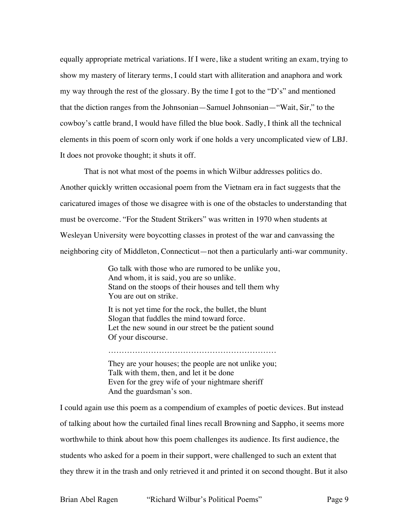equally appropriate metrical variations. If I were, like a student writing an exam, trying to show my mastery of literary terms, I could start with alliteration and anaphora and work my way through the rest of the glossary. By the time I got to the "D's" and mentioned that the diction ranges from the Johnsonian—Samuel Johnsonian—"Wait, Sir," to the cowboy's cattle brand, I would have filled the blue book. Sadly, I think all the technical elements in this poem of scorn only work if one holds a very uncomplicated view of LBJ. It does not provoke thought; it shuts it off.

That is not what most of the poems in which Wilbur addresses politics do. Another quickly written occasional poem from the Vietnam era in fact suggests that the caricatured images of those we disagree with is one of the obstacles to understanding that must be overcome. "For the Student Strikers" was written in 1970 when students at Wesleyan University were boycotting classes in protest of the war and canvassing the neighboring city of Middleton, Connecticut—not then a particularly anti-war community.

> Go talk with those who are rumored to be unlike you, And whom, it is said, you are so unlike. Stand on the stoops of their houses and tell them why You are out on strike.

It is not yet time for the rock, the bullet, the blunt Slogan that fuddles the mind toward force. Let the new sound in our street be the patient sound Of your discourse.

They are your houses; the people are not unlike you; Talk with them, then, and let it be done Even for the grey wife of your nightmare sheriff And the guardsman's son.

………………………………………………………

I could again use this poem as a compendium of examples of poetic devices. But instead of talking about how the curtailed final lines recall Browning and Sappho, it seems more worthwhile to think about how this poem challenges its audience. Its first audience, the students who asked for a poem in their support, were challenged to such an extent that they threw it in the trash and only retrieved it and printed it on second thought. But it also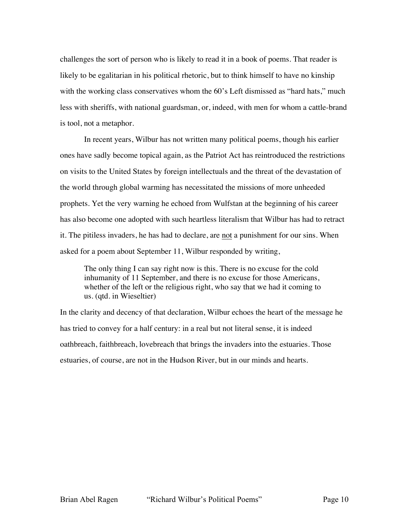challenges the sort of person who is likely to read it in a book of poems. That reader is likely to be egalitarian in his political rhetoric, but to think himself to have no kinship with the working class conservatives whom the 60's Left dismissed as "hard hats," much less with sheriffs, with national guardsman, or, indeed, with men for whom a cattle-brand is tool, not a metaphor.

In recent years, Wilbur has not written many political poems, though his earlier ones have sadly become topical again, as the Patriot Act has reintroduced the restrictions on visits to the United States by foreign intellectuals and the threat of the devastation of the world through global warming has necessitated the missions of more unheeded prophets. Yet the very warning he echoed from Wulfstan at the beginning of his career has also become one adopted with such heartless literalism that Wilbur has had to retract it. The pitiless invaders, he has had to declare, are not a punishment for our sins. When asked for a poem about September 11, Wilbur responded by writing,

The only thing I can say right now is this. There is no excuse for the cold inhumanity of 11 September, and there is no excuse for those Americans, whether of the left or the religious right, who say that we had it coming to us. (qtd. in Wieseltier)

In the clarity and decency of that declaration, Wilbur echoes the heart of the message he has tried to convey for a half century: in a real but not literal sense, it is indeed oathbreach, faithbreach, lovebreach that brings the invaders into the estuaries. Those estuaries, of course, are not in the Hudson River, but in our minds and hearts.